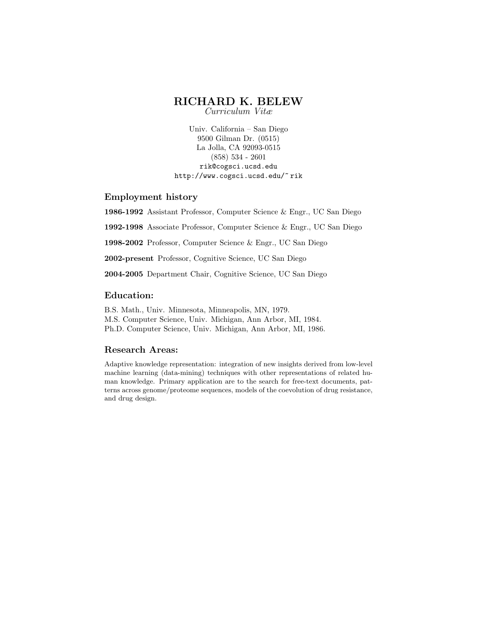# RICHARD K. BELEW

Curriculum Vitæ

Univ. California – San Diego 9500 Gilman Dr. (0515) La Jolla, CA 92093-0515 (858) 534 - 2601 rik@cogsci.ucsd.edu http://www.cogsci.ucsd.edu/~ rik

### Employment history

1986-1992 Assistant Professor, Computer Science & Engr., UC San Diego 1992-1998 Associate Professor, Computer Science & Engr., UC San Diego 1998-2002 Professor, Computer Science & Engr., UC San Diego 2002-present Professor, Cognitive Science, UC San Diego 2004-2005 Department Chair, Cognitive Science, UC San Diego

## Education:

B.S. Math., Univ. Minnesota, Minneapolis, MN, 1979. M.S. Computer Science, Univ. Michigan, Ann Arbor, MI, 1984. Ph.D. Computer Science, Univ. Michigan, Ann Arbor, MI, 1986.

## Research Areas:

Adaptive knowledge representation: integration of new insights derived from low-level machine learning (data-mining) techniques with other representations of related human knowledge. Primary application are to the search for free-text documents, patterns across genome/proteome sequences, models of the coevolution of drug resistance, and drug design.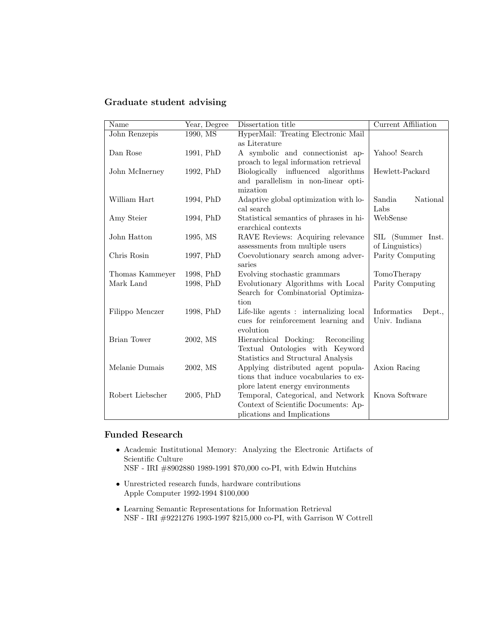# Graduate student advising

| National          |
|-------------------|
|                   |
|                   |
|                   |
| SIL (Summer Inst. |
|                   |
| Parity Computing  |
|                   |
|                   |
| Parity Computing  |
|                   |
|                   |
| Dept.,            |
|                   |
|                   |
|                   |
|                   |
|                   |
|                   |
|                   |
|                   |
|                   |
|                   |
|                   |

# Funded Research

- Academic Institutional Memory: Analyzing the Electronic Artifacts of Scientific Culture
	- NSF IRI #8902880 1989-1991 \$70,000 co-PI, with Edwin Hutchins
- Unrestricted research funds, hardware contributions Apple Computer 1992-1994 \$100,000
- $\bullet\,$  Learning Semantic Representations for Information Retrieval NSF - IRI #9221276 1993-1997 \$215,000 co-PI, with Garrison W Cottrell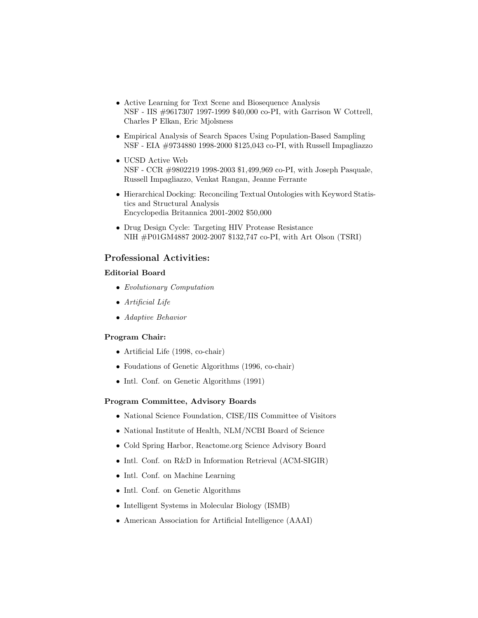- Active Learning for Text Scene and Biosequence Analysis NSF - IIS #9617307 1997-1999 \$40,000 co-PI, with Garrison W Cottrell, Charles P Elkan, Eric Mjolsness
- Empirical Analysis of Search Spaces Using Population-Based Sampling NSF - EIA #9734880 1998-2000 \$125,043 co-PI, with Russell Impagliazzo
- UCSD Active Web NSF - CCR #9802219 1998-2003 \$1,499,969 co-PI, with Joseph Pasquale, Russell Impagliazzo, Venkat Rangan, Jeanne Ferrante
- Hierarchical Docking: Reconciling Textual Ontologies with Keyword Statistics and Structural Analysis Encyclopedia Britannica 2001-2002 \$50,000
- Drug Design Cycle: Targeting HIV Protease Resistance NIH #P01GM4887 2002-2007 \$132,747 co-PI, with Art Olson (TSRI)

### Professional Activities:

#### Editorial Board

- Evolutionary Computation
- Artificial Life
- Adaptive Behavior

#### Program Chair:

- Artificial Life (1998, co-chair)
- Foudations of Genetic Algorithms (1996, co-chair)
- Intl. Conf. on Genetic Algorithms (1991)

#### Program Committee, Advisory Boards

- National Science Foundation, CISE/IIS Committee of Visitors
- National Institute of Health, NLM/NCBI Board of Science
- Cold Spring Harbor, Reactome.org Science Advisory Board
- Intl. Conf. on R&D in Information Retrieval (ACM-SIGIR)
- Intl. Conf. on Machine Learning
- Intl. Conf. on Genetic Algorithms
- Intelligent Systems in Molecular Biology (ISMB)
- American Association for Artificial Intelligence (AAAI)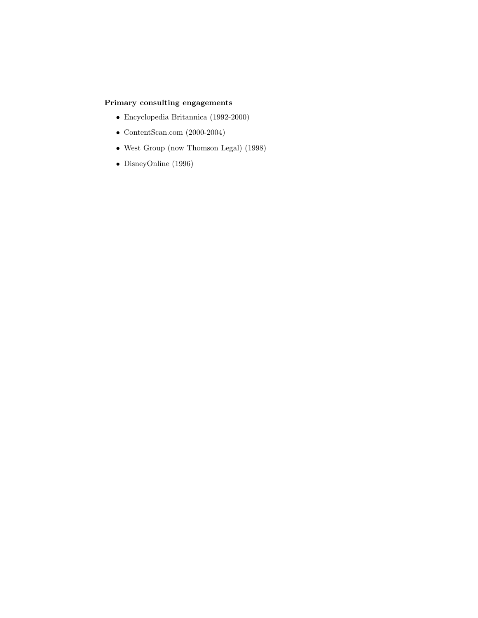# Primary consulting engagements

- Encyclopedia Britannica (1992-2000)
- ContentScan.com (2000-2004)
- West Group (now Thomson Legal) (1998)
- DisneyOnline (1996)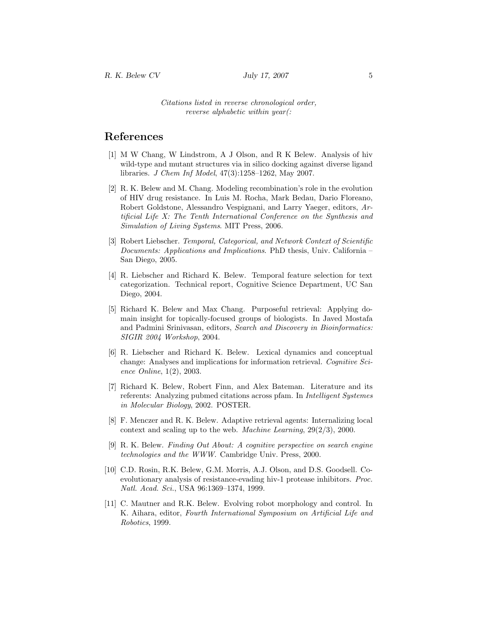Citations listed in reverse chronological order, reverse alphabetic within year(:

# References

- [1] M W Chang, W Lindstrom, A J Olson, and R K Belew. Analysis of hiv wild-type and mutant structures via in silico docking against diverse ligand libraries. J Chem Inf Model, 47(3):1258–1262, May 2007.
- [2] R. K. Belew and M. Chang. Modeling recombination's role in the evolution of HIV drug resistance. In Luis M. Rocha, Mark Bedau, Dario Floreano, Robert Goldstone, Alessandro Vespignani, and Larry Yaeger, editors, Artificial Life X: The Tenth International Conference on the Synthesis and Simulation of Living Systems. MIT Press, 2006.
- [3] Robert Liebscher. Temporal, Categorical, and Network Context of Scientific Documents: Applications and Implications. PhD thesis, Univ. California – San Diego, 2005.
- [4] R. Liebscher and Richard K. Belew. Temporal feature selection for text categorization. Technical report, Cognitive Science Department, UC San Diego, 2004.
- [5] Richard K. Belew and Max Chang. Purposeful retrieval: Applying domain insight for topically-focused groups of biologists. In Javed Mostafa and Padmini Srinivasan, editors, Search and Discovery in Bioinformatics: SIGIR 2004 Workshop, 2004.
- [6] R. Liebscher and Richard K. Belew. Lexical dynamics and conceptual change: Analyses and implications for information retrieval. Cognitive Science Online, 1(2), 2003.
- [7] Richard K. Belew, Robert Finn, and Alex Bateman. Literature and its referents: Analyzing pubmed citations across pfam. In Intelligent Systemes in Molecular Biology, 2002. POSTER.
- [8] F. Menczer and R. K. Belew. Adaptive retrieval agents: Internalizing local context and scaling up to the web. Machine Learning, 29(2/3), 2000.
- [9] R. K. Belew. Finding Out About: A cognitive perspective on search engine technologies and the WWW. Cambridge Univ. Press, 2000.
- [10] C.D. Rosin, R.K. Belew, G.M. Morris, A.J. Olson, and D.S. Goodsell. Coevolutionary analysis of resistance-evading hiv-1 protease inhibitors. Proc. Natl. Acad. Sci., USA 96:1369–1374, 1999.
- [11] C. Mautner and R.K. Belew. Evolving robot morphology and control. In K. Aihara, editor, Fourth International Symposium on Artificial Life and Robotics, 1999.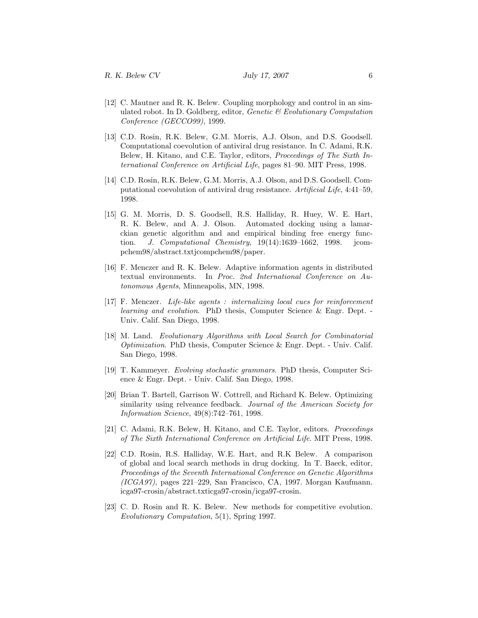- [12] C. Mautner and R. K. Belew. Coupling morphology and control in an simulated robot. In D. Goldberg, editor, *Genetic & Evolutionary Computation* Conference (GECCO99), 1999.
- [13] C.D. Rosin, R.K. Belew, G.M. Morris, A.J. Olson, and D.S. Goodsell. Computational coevolution of antiviral drug resistance. In C. Adami, R.K. Belew, H. Kitano, and C.E. Taylor, editors, Proceedings of The Sixth International Conference on Artificial Life, pages 81–90. MIT Press, 1998.
- [14] C.D. Rosin, R.K. Belew, G.M. Morris, A.J. Olson, and D.S. Goodsell. Computational coevolution of antiviral drug resistance. Artificial Life, 4:41–59, 1998.
- [15] G. M. Morris, D. S. Goodsell, R.S. Halliday, R. Huey, W. E. Hart, R. K. Belew, and A. J. Olson. Automated docking using a lamarckian genetic algorithm and and empirical binding free energy function. J. Computational Chemistry,  $19(14):1639-1662$ , 1998. jcompchem98/abstract.txtjcompchem98/paper.
- [16] F. Menczer and R. K. Belew. Adaptive information agents in distributed textual environments. In Proc. 2nd International Conference on Autonomous Agents, Minneapolis, MN, 1998.
- [17] F. Menczer. Life-like agents : internalizing local cues for reinforcement learning and evolution. PhD thesis, Computer Science & Engr. Dept. - Univ. Calif. San Diego, 1998.
- [18] M. Land. Evolutionary Algorithms with Local Search for Combinatorial Optimization. PhD thesis, Computer Science & Engr. Dept. - Univ. Calif. San Diego, 1998.
- [19] T. Kammeyer. Evolving stochastic grammars. PhD thesis, Computer Science & Engr. Dept. - Univ. Calif. San Diego, 1998.
- [20] Brian T. Bartell, Garrison W. Cottrell, and Richard K. Belew. Optimizing similarity using relveance feedback. Journal of the American Society for Information Science, 49(8):742–761, 1998.
- [21] C. Adami, R.K. Belew, H. Kitano, and C.E. Taylor, editors. *Proceedings* of The Sixth International Conference on Artificial Life. MIT Press, 1998.
- [22] C.D. Rosin, R.S. Halliday, W.E. Hart, and R.K Belew. A comparison of global and local search methods in drug docking. In T. Baeck, editor, Proceedings of the Seventh International Conference on Genetic Algorithms  $(ICGA97)$ , pages 221–229, San Francisco, CA, 1997. Morgan Kaufmann. icga97-crosin/abstract.txticga97-crosin/icga97-crosin.
- [23] C. D. Rosin and R. K. Belew. New methods for competitive evolution. Evolutionary Computation, 5(1), Spring 1997.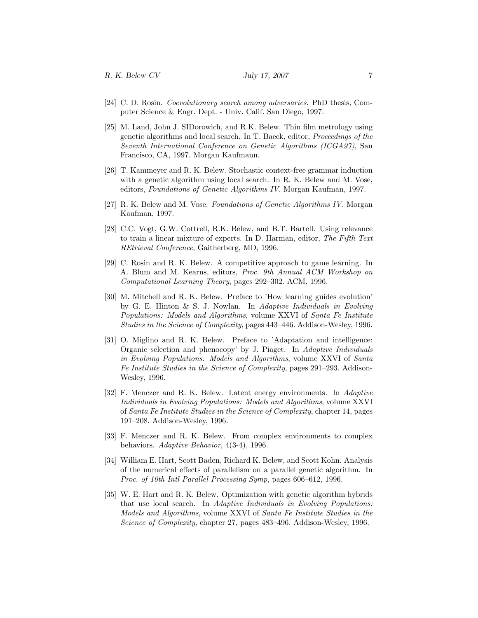- [24] C. D. Rosin. Coevolutionary search among adversaries. PhD thesis, Computer Science & Engr. Dept. - Univ. Calif. San Diego, 1997.
- [25] M. Land, John J. SIDorowich, and R.K. Belew. Thin film metrology using genetic algorithms and local search. In T. Baeck, editor, Proceedings of the Seventh International Conference on Genetic Algorithms (ICGA97), San Francisco, CA, 1997. Morgan Kaufmann.
- [26] T. Kammeyer and R. K. Belew. Stochastic context-free grammar induction with a genetic algorithm using local search. In R. K. Belew and M. Vose, editors, Foundations of Genetic Algorithms IV. Morgan Kaufman, 1997.
- [27] R. K. Belew and M. Vose. Foundations of Genetic Algorithms IV. Morgan Kaufman, 1997.
- [28] C.C. Vogt, G.W. Cottrell, R.K. Belew, and B.T. Bartell. Using relevance to train a linear mixture of experts. In D. Harman, editor, The Fifth Text REtrieval Conference, Gaitherberg, MD, 1996.
- [29] C. Rosin and R. K. Belew. A competitive approach to game learning. In A. Blum and M. Kearns, editors, Proc. 9th Annual ACM Workshop on Computational Learning Theory, pages 292–302. ACM, 1996.
- [30] M. Mitchell and R. K. Belew. Preface to 'How learning guides evolution' by G. E. Hinton & S. J. Nowlan. In Adaptive Individuals in Evolving Populations: Models and Algorithms, volume XXVI of Santa Fe Institute Studies in the Science of Complexity, pages 443–446. Addison-Wesley, 1996.
- [31] O. Miglino and R. K. Belew. Preface to 'Adaptation and intelligence: Organic selection and phenocopy' by J. Piaget. In Adaptive Individuals in Evolving Populations: Models and Algorithms, volume XXVI of Santa Fe Institute Studies in the Science of Complexity, pages 291–293. Addison-Wesley, 1996.
- [32] F. Menczer and R. K. Belew. Latent energy environments. In Adaptive Individuals in Evolving Populations: Models and Algorithms, volume XXVI of Santa Fe Institute Studies in the Science of Complexity, chapter 14, pages 191–208. Addison-Wesley, 1996.
- [33] F. Menczer and R. K. Belew. From complex environments to complex behaviors. Adaptive Behavior, 4(3-4), 1996.
- [34] William E. Hart, Scott Baden, Richard K. Belew, and Scott Kohn. Analysis of the numerical effects of parallelism on a parallel genetic algorithm. In Proc. of 10th Intl Parallel Processing Symp, pages 606–612, 1996.
- [35] W. E. Hart and R. K. Belew. Optimization with genetic algorithm hybrids that use local search. In Adaptive Individuals in Evolving Populations: Models and Algorithms, volume XXVI of Santa Fe Institute Studies in the Science of Complexity, chapter 27, pages 483–496. Addison-Wesley, 1996.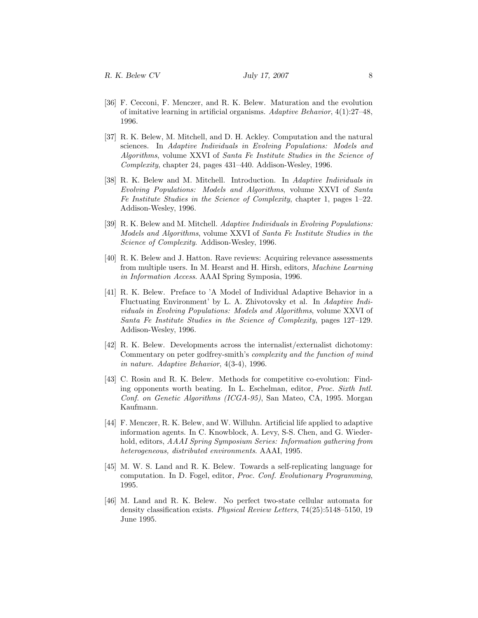- [36] F. Cecconi, F. Menczer, and R. K. Belew. Maturation and the evolution of imitative learning in artificial organisms. Adaptive Behavior, 4(1):27–48, 1996.
- [37] R. K. Belew, M. Mitchell, and D. H. Ackley. Computation and the natural sciences. In Adaptive Individuals in Evolving Populations: Models and Algorithms, volume XXVI of Santa Fe Institute Studies in the Science of Complexity, chapter 24, pages 431–440. Addison-Wesley, 1996.
- [38] R. K. Belew and M. Mitchell. Introduction. In Adaptive Individuals in Evolving Populations: Models and Algorithms, volume XXVI of Santa Fe Institute Studies in the Science of Complexity, chapter 1, pages 1–22. Addison-Wesley, 1996.
- [39] R. K. Belew and M. Mitchell. Adaptive Individuals in Evolving Populations: Models and Algorithms, volume XXVI of Santa Fe Institute Studies in the Science of Complexity. Addison-Wesley, 1996.
- [40] R. K. Belew and J. Hatton. Rave reviews: Acquiring relevance assessments from multiple users. In M. Hearst and H. Hirsh, editors, Machine Learning in Information Access. AAAI Spring Symposia, 1996.
- [41] R. K. Belew. Preface to 'A Model of Individual Adaptive Behavior in a Fluctuating Environment' by L. A. Zhivotovsky et al. In Adaptive Individuals in Evolving Populations: Models and Algorithms, volume XXVI of Santa Fe Institute Studies in the Science of Complexity, pages 127–129. Addison-Wesley, 1996.
- [42] R. K. Belew. Developments across the internalist/externalist dichotomy: Commentary on peter godfrey-smith's complexity and the function of mind in nature. Adaptive Behavior, 4(3-4), 1996.
- [43] C. Rosin and R. K. Belew. Methods for competitive co-evolution: Finding opponents worth beating. In L. Eschelman, editor, Proc. Sixth Intl. Conf. on Genetic Algorithms (ICGA-95), San Mateo, CA, 1995. Morgan Kaufmann.
- [44] F. Menczer, R. K. Belew, and W. Willuhn. Artificial life applied to adaptive information agents. In C. Knowblock, A. Levy, S-S. Chen, and G. Wiederhold, editors, AAAI Spring Symposium Series: Information gathering from heterogeneous, distributed environments. AAAI, 1995.
- [45] M. W. S. Land and R. K. Belew. Towards a self-replicating language for computation. In D. Fogel, editor, Proc. Conf. Evolutionary Programming, 1995.
- [46] M. Land and R. K. Belew. No perfect two-state cellular automata for density classification exists. Physical Review Letters, 74(25):5148–5150, 19 June 1995.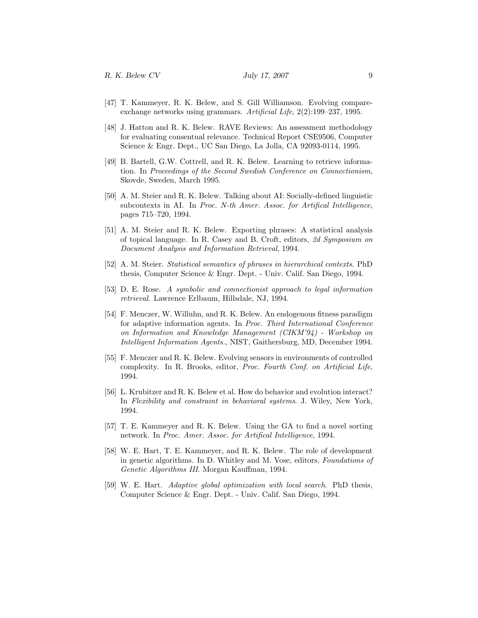- [47] T. Kammeyer, R. K. Belew, and S. Gill Williamson. Evolving compareexchange networks using grammars. Artificial Life, 2(2):199–237, 1995.
- [48] J. Hatton and R. K. Belew. RAVE Reviews: An assessment methodology for evaluating consentual relevance. Technical Report CSE9506, Computer Science & Engr. Dept., UC San Diego, La Jolla, CA 92093-0114, 1995.
- [49] B. Bartell, G.W. Cottrell, and R. K. Belew. Learning to retrieve information. In Proceedings of the Second Swedish Conference on Connectionism, Skovde, Sweden, March 1995.
- [50] A. M. Steier and R. K. Belew. Talking about AI: Socially-defined linguistic subcontexts in AI. In Proc. N-th Amer. Assoc. for Artifical Intelligence, pages 715–720, 1994.
- [51] A. M. Steier and R. K. Belew. Exporting phrases: A statistical analysis of topical language. In R. Casey and B. Croft, editors, 2d Symposium on Document Analysis and Information Retrieval, 1994.
- [52] A. M. Steier. Statistical semantics of phrases in hierarchical contexts. PhD thesis, Computer Science & Engr. Dept. - Univ. Calif. San Diego, 1994.
- [53] D. E. Rose. A symbolic and connectionist approach to legal information retrieval. Lawrence Erlbaum, Hillsdale, NJ, 1994.
- [54] F. Menczer, W. Willuhn, and R. K. Belew. An endogenous fitness paradigm for adaptive information agents. In Proc. Third International Conference on Information and Knowledge Management (CIKM'94) - Workshop on Intelligent Information Agents., NIST, Gaithersburg, MD, December 1994.
- [55] F. Menczer and R. K. Belew. Evolving sensors in environments of controlled complexity. In R. Brooks, editor, Proc. Fourth Conf. on Artificial Life, 1994.
- [56] L. Krubitzer and R. K. Belew et al. How do behavior and evolution interact? In Flexibility and constraint in behavioral systems. J. Wiley, New York, 1994.
- [57] T. E. Kammeyer and R. K. Belew. Using the GA to find a novel sorting network. In Proc. Amer. Assoc. for Artifical Intelligence, 1994.
- [58] W. E. Hart, T. E. Kammeyer, and R. K. Belew. The role of development in genetic algorithms. In D. Whitley and M. Vose, editors, Foundations of Genetic Algorithms III. Morgan Kauffman, 1994.
- [59] W. E. Hart. Adaptive global optimization with local search. PhD thesis, Computer Science & Engr. Dept. - Univ. Calif. San Diego, 1994.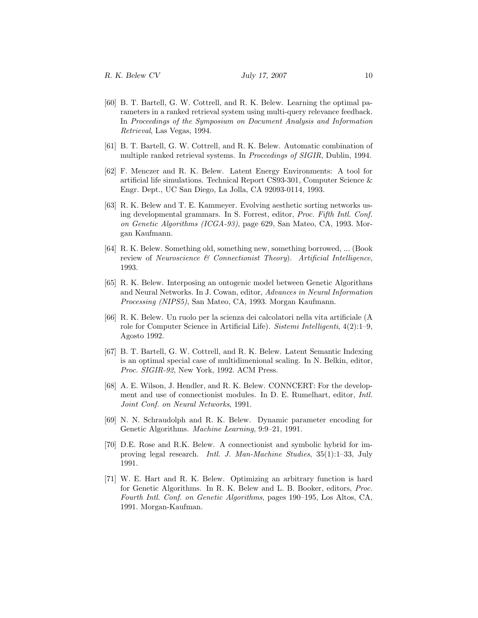- [60] B. T. Bartell, G. W. Cottrell, and R. K. Belew. Learning the optimal parameters in a ranked retrieval system using multi-query relevance feedback. In Proceedings of the Symposium on Document Analysis and Information Retrieval, Las Vegas, 1994.
- [61] B. T. Bartell, G. W. Cottrell, and R. K. Belew. Automatic combination of multiple ranked retrieval systems. In Proceedings of SIGIR, Dublin, 1994.
- [62] F. Menczer and R. K. Belew. Latent Energy Environments: A tool for artificial life simulations. Technical Report CS93-301, Computer Science & Engr. Dept., UC San Diego, La Jolla, CA 92093-0114, 1993.
- [63] R. K. Belew and T. E. Kammeyer. Evolving aesthetic sorting networks using developmental grammars. In S. Forrest, editor, Proc. Fifth Intl. Conf. on Genetic Algorithms (ICGA-93), page 629, San Mateo, CA, 1993. Morgan Kaufmann.
- [64] R. K. Belew. Something old, something new, something borrowed, ... (Book review of Neuroscience & Connectionist Theory). Artificial Intelligence, 1993.
- [65] R. K. Belew. Interposing an ontogenic model between Genetic Algorithms and Neural Networks. In J. Cowan, editor, Advances in Neural Information Processing (NIPS5), San Mateo, CA, 1993. Morgan Kaufmann.
- [66] R. K. Belew. Un ruolo per la scienza dei calcolatori nella vita artificiale (A role for Computer Science in Artificial Life). Sistemi Intelligenti, 4(2):1–9, Agosto 1992.
- [67] B. T. Bartell, G. W. Cottrell, and R. K. Belew. Latent Semantic Indexing is an optimal special case of multidimenional scaling. In N. Belkin, editor, Proc. SIGIR-92, New York, 1992. ACM Press.
- [68] A. E. Wilson, J. Hendler, and R. K. Belew. CONNCERT: For the development and use of connectionist modules. In D. E. Rumelhart, editor, Intl. Joint Conf. on Neural Networks, 1991.
- [69] N. N. Schraudolph and R. K. Belew. Dynamic parameter encoding for Genetic Algorithms. Machine Learning, 9:9–21, 1991.
- [70] D.E. Rose and R.K. Belew. A connectionist and symbolic hybrid for improving legal research. Intl. J. Man-Machine Studies, 35(1):1–33, July 1991.
- [71] W. E. Hart and R. K. Belew. Optimizing an arbitrary function is hard for Genetic Algorithms. In R. K. Belew and L. B. Booker, editors, Proc. Fourth Intl. Conf. on Genetic Algorithms, pages 190–195, Los Altos, CA, 1991. Morgan-Kaufman.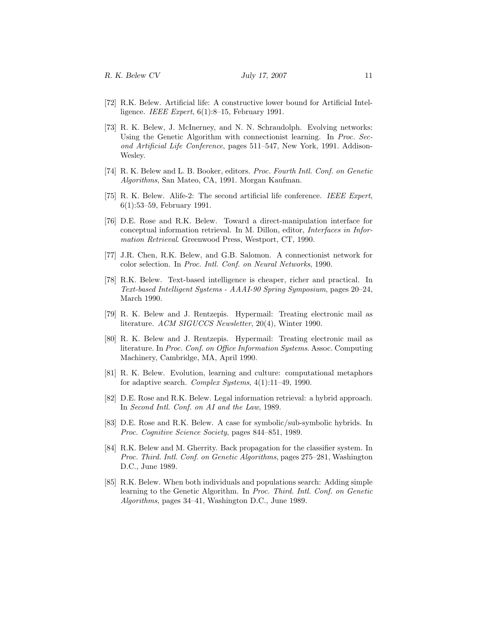- [72] R.K. Belew. Artificial life: A constructive lower bound for Artificial Intelligence. IEEE Expert, 6(1):8–15, February 1991.
- [73] R. K. Belew, J. McInerney, and N. N. Schraudolph. Evolving networks: Using the Genetic Algorithm with connectionist learning. In Proc. Second Artificial Life Conference, pages 511–547, New York, 1991. Addison-Wesley.
- [74] R. K. Belew and L. B. Booker, editors. Proc. Fourth Intl. Conf. on Genetic Algorithms, San Mateo, CA, 1991. Morgan Kaufman.
- [75] R. K. Belew. Alife-2: The second artificial life conference. IEEE Expert, 6(1):53–59, February 1991.
- [76] D.E. Rose and R.K. Belew. Toward a direct-manipulation interface for conceptual information retrieval. In M. Dillon, editor, Interfaces in Information Retrieval. Greenwood Press, Westport, CT, 1990.
- [77] J.R. Chen, R.K. Belew, and G.B. Salomon. A connectionist network for color selection. In Proc. Intl. Conf. on Neural Networks, 1990.
- [78] R.K. Belew. Text-based intelligence is cheaper, richer and practical. In Text-based Intelligent Systems - AAAI-90 Spring Symposium, pages 20–24, March 1990.
- [79] R. K. Belew and J. Rentzepis. Hypermail: Treating electronic mail as literature. ACM SIGUCCS Newsletter, 20(4), Winter 1990.
- [80] R. K. Belew and J. Rentzepis. Hypermail: Treating electronic mail as literature. In Proc. Conf. on Office Information Systems. Assoc. Computing Machinery, Cambridge, MA, April 1990.
- [81] R. K. Belew. Evolution, learning and culture: computational metaphors for adaptive search. Complex Systems, 4(1):11–49, 1990.
- [82] D.E. Rose and R.K. Belew. Legal information retrieval: a hybrid approach. In Second Intl. Conf. on AI and the Law, 1989.
- [83] D.E. Rose and R.K. Belew. A case for symbolic/sub-symbolic hybrids. In Proc. Cognitive Science Society, pages 844–851, 1989.
- [84] R.K. Belew and M. Gherrity. Back propagation for the classifier system. In Proc. Third. Intl. Conf. on Genetic Algorithms, pages 275–281, Washington D.C., June 1989.
- [85] R.K. Belew. When both individuals and populations search: Adding simple learning to the Genetic Algorithm. In Proc. Third. Intl. Conf. on Genetic Algorithms, pages 34–41, Washington D.C., June 1989.